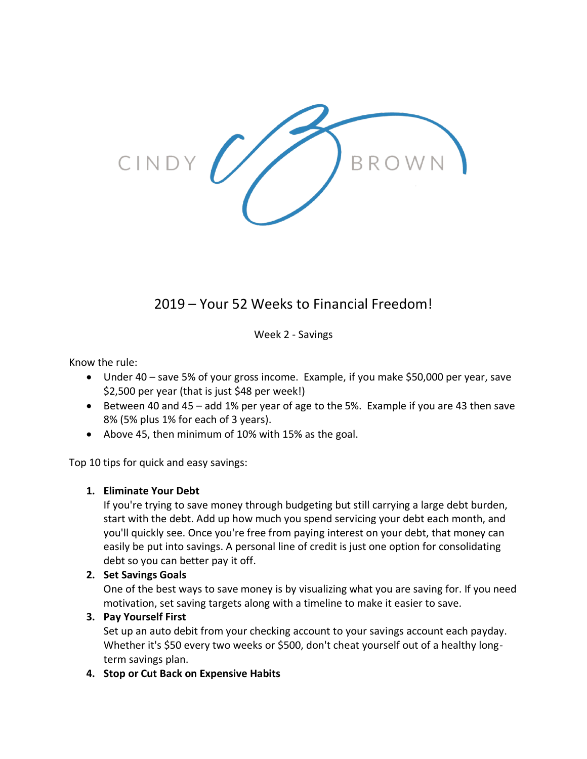

# 2019 – Your 52 Weeks to Financial Freedom!

Week 2 - Savings

Know the rule:

- Under 40 save 5% of your gross income. Example, if you make \$50,000 per year, save \$2,500 per year (that is just \$48 per week!)
- Between 40 and 45 add 1% per year of age to the 5%. Example if you are 43 then save 8% (5% plus 1% for each of 3 years).
- Above 45, then minimum of 10% with 15% as the goal.

Top 10 tips for quick and easy savings:

## **1. Eliminate Your Debt**

If you're trying to save money through budgeting but still carrying a large debt burden, start with the debt. Add up how much you spend servicing your debt each month, and you'll quickly see. Once you're free from paying interest on your debt, that money can easily be put into savings. A personal line of credit is just one option for consolidating debt so you can better pay it off.

## **2. Set Savings Goals**

One of the best ways to save money is by visualizing what you are saving for. If you need motivation, set saving targets along with a timeline to make it easier to save.

## **3. Pay Yourself First**

Set up an auto debit from your checking account to your savings account each payday. Whether it's \$50 every two weeks or \$500, don't cheat yourself out of a healthy longterm savings plan.

## **4. Stop or Cut Back on Expensive Habits**